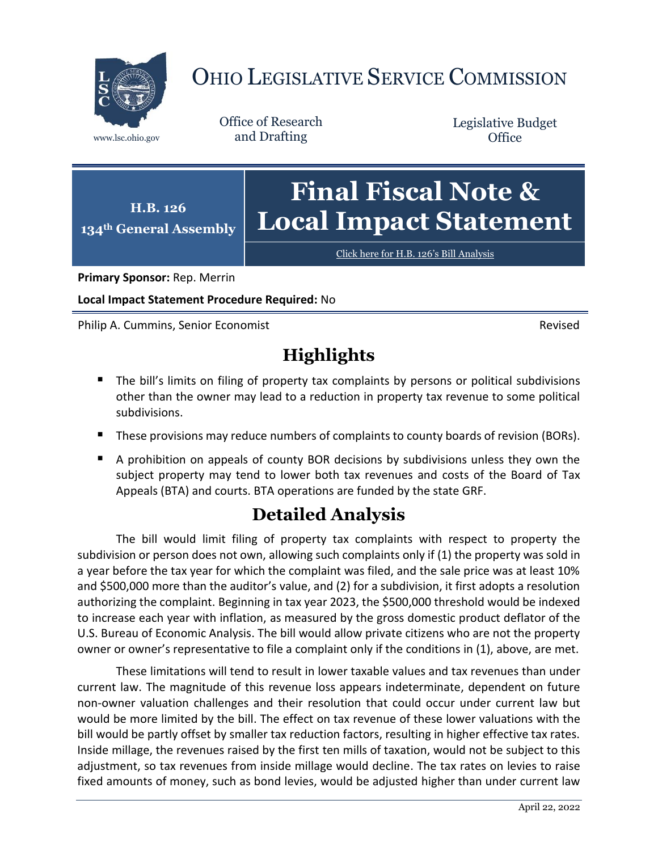

## OHIO LEGISLATIVE SERVICE COMMISSION

Office of Research www.lsc.ohio.gov and Drafting

Legislative Budget **Office** 

**H.B. 126 134th General Assembly Final Fiscal Note & Local Impact Statement**

[Click here for H.B. 126](https://www.legislature.ohio.gov/legislation/legislation-documents?id=GA134-HB-126)'s Bill Analysis

**Primary Sponsor:** Rep. Merrin

**Local Impact Statement Procedure Required:** No

Philip A. Cummins, Senior Economist Revised

## **Highlights**

- The bill's limits on filing of property tax complaints by persons or political subdivisions other than the owner may lead to a reduction in property tax revenue to some political subdivisions.
- These provisions may reduce numbers of complaints to county boards of revision (BORs).
- A prohibition on appeals of county BOR decisions by subdivisions unless they own the subject property may tend to lower both tax revenues and costs of the Board of Tax Appeals (BTA) and courts. BTA operations are funded by the state GRF.

## **Detailed Analysis**

The bill would limit filing of property tax complaints with respect to property the subdivision or person does not own, allowing such complaints only if (1) the property was sold in a year before the tax year for which the complaint was filed, and the sale price was at least 10% and \$500,000 more than the auditor's value, and (2) for a subdivision, it first adopts a resolution authorizing the complaint. Beginning in tax year 2023, the \$500,000 threshold would be indexed to increase each year with inflation, as measured by the gross domestic product deflator of the U.S. Bureau of Economic Analysis. The bill would allow private citizens who are not the property owner or owner's representative to file a complaint only if the conditions in (1), above, are met.

These limitations will tend to result in lower taxable values and tax revenues than under current law. The magnitude of this revenue loss appears indeterminate, dependent on future non-owner valuation challenges and their resolution that could occur under current law but would be more limited by the bill. The effect on tax revenue of these lower valuations with the bill would be partly offset by smaller tax reduction factors, resulting in higher effective tax rates. Inside millage, the revenues raised by the first ten mills of taxation, would not be subject to this adjustment, so tax revenues from inside millage would decline. The tax rates on levies to raise fixed amounts of money, such as bond levies, would be adjusted higher than under current law